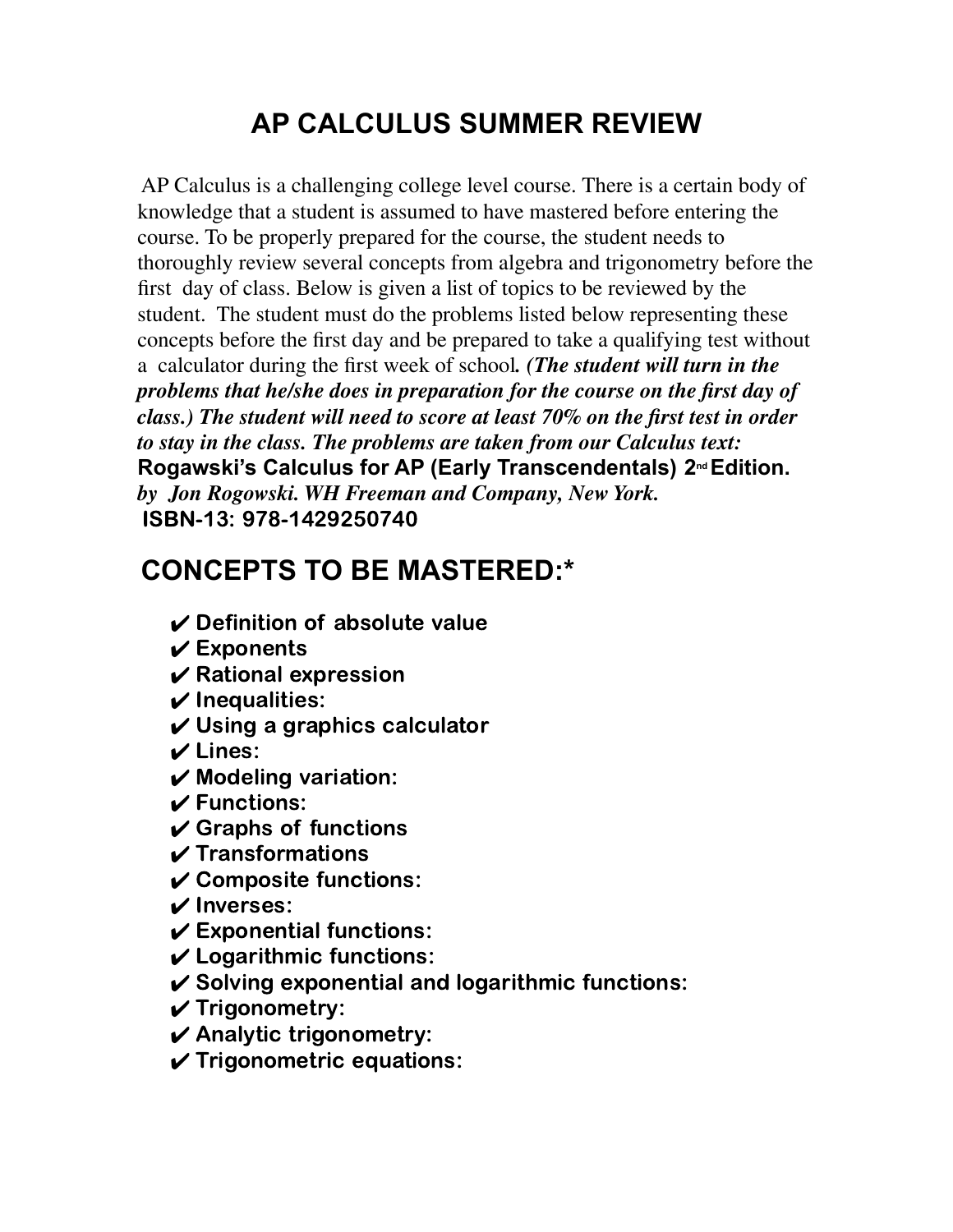## **AP CALCULUS SUMMER REVIEW**

AP Calculus is a challenging college level course. There is a certain body of knowledge that a student is assumed to have mastered before entering the course. To be properly prepared for the course, the student needs to thoroughly review several concepts from algebra and trigonometry before the first day of class. Below is given a list of topics to be reviewed by the student. The student must do the problems listed below representing these concepts before the first day and be prepared to take a qualifying test without a calculator during the first week of school*. (The student will turn in the problems that he/she does in preparation for the course on the first day of class.) The student will need to score at least 70% on the first test in order to stay in the class. The problems are taken from our Calculus text:* **Rogawski's Calculus for AP (Early Transcendentals) 2 ndEdition.** *by Jon Rogowski. WH Freeman and Company, New York.* ISBN-13: 978-1429250740

## **CONCEPTS TO BE MASTERED:\***

- $\vee$  Definition of absolute value
- $\checkmark$  Exponents
- $\boldsymbol{\nu}$  Rational expression
- $\boldsymbol{\nu}$  Inequalities:
- $\boldsymbol{\nu}$  Using a graphics calculator
- $\boldsymbol{\nu}$  Lines:
- $\boldsymbol{\nu}$  Modeling variation:
- $\boldsymbol{\nu}$  Functions:
- $\checkmark$  Graphs of functions
- $\boldsymbol{\nu}$  Transformations
- $\boldsymbol{\nu}$  Composite functions:
- ✔ Inverses:
- $\boldsymbol{\nu}$  Exponential functions:
- $\boldsymbol{\nu}$  Logarithmic functions:
- $\checkmark$  Solving exponential and logarithmic functions:
- $\checkmark$  Trigonometry:
- $\boldsymbol{\nu}$  Analytic trigonometry:
- $\checkmark$  Trigonometric equations: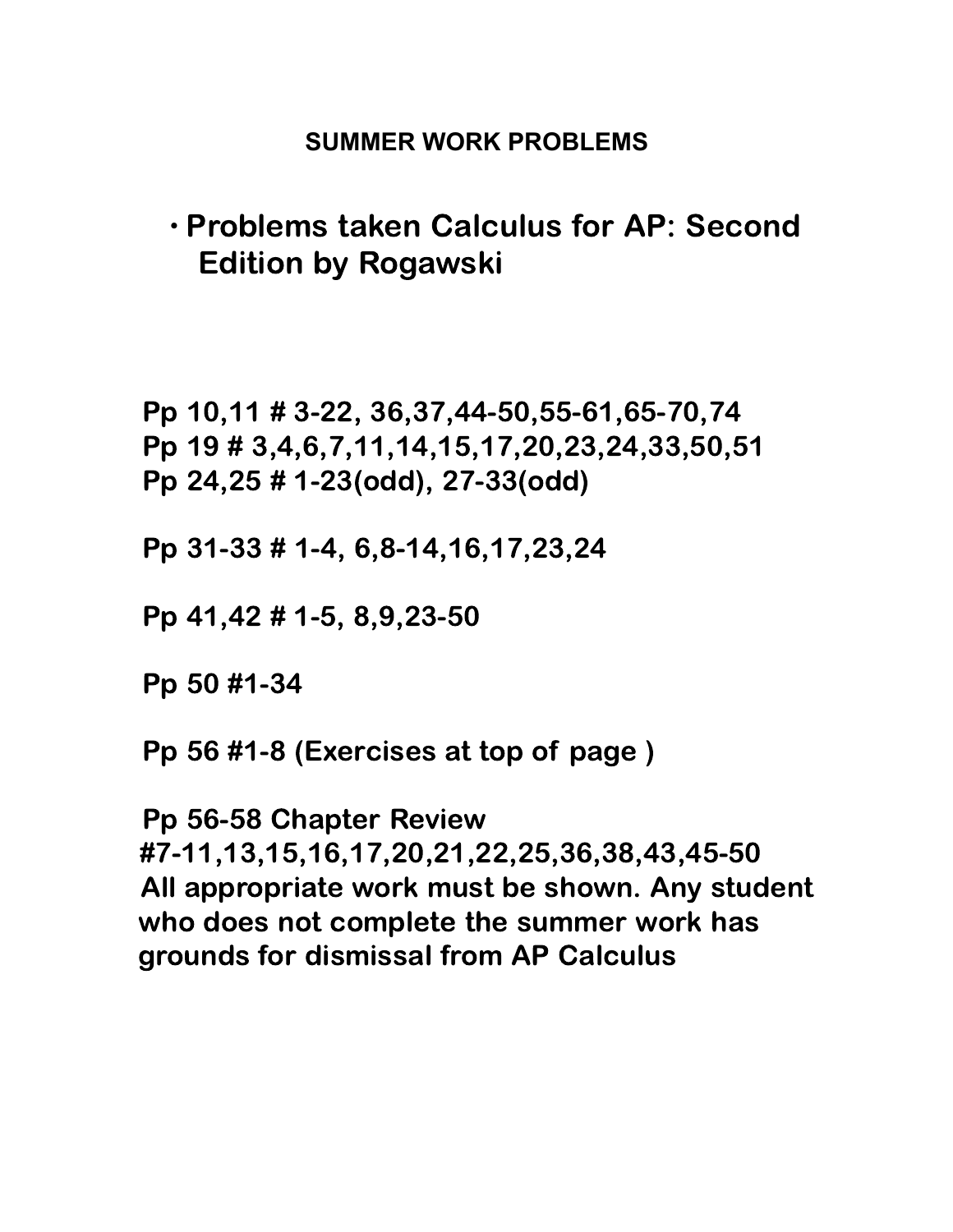## **SUMMER WORK PROBLEMS**

## ∙ Problems taken Calculus for AP: Second Edition by Rogawski

Pp 10,11 # 3-22, 36,37,44-50,55-61,65-70,74 Pp 19 # 3,4,6,7,11,14,15,17,20,23,24,33,50,51 Pp 24,25 # 1-23(odd), 27-33(odd)

Pp 31-33 # 1-4, 6,8-14,16,17,23,24

Pp 41,42 # 1-5, 8,9,23-50

Pp 50 #1-34

Pp 56 #1-8 (Exercises at top of page )

Pp 56-58 Chapter Review #7-11,13,15,16,17,20,21,22,25,36,38,43,45-50 All appropriate work must be shown. Any student who does not complete the summer work has grounds for dismissal from AP Calculus